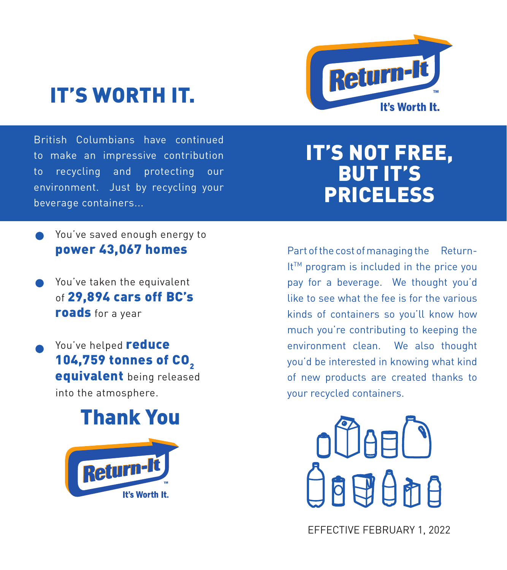# IT'S WORTH IT.



British Columbians have continued to make an impressive contribution to recycling and protecting our environment. Just by recycling your beverage containers...

## IT'S NOT FREE, BUT IT'S PRICELESS

- You've saved enough energy to power 43,067 homes
- You've taken the equivalent of 29,894 cars off BC's roads for a year
- You've helped **reduce** 104,759 tonnes of CO<sub>2</sub> equivalent being released into the atmosphere.

## Thank You



Part of the cost of managing the Return-It™ program is included in the price you pay for a beverage. We thought you'd like to see what the fee is for the various kinds of containers so you'll know how much you're contributing to keeping the environment clean. We also thought you'd be interested in knowing what kind of new products are created thanks to your recycled containers.



EFFECTIVE FEBRUARY 1, 2022